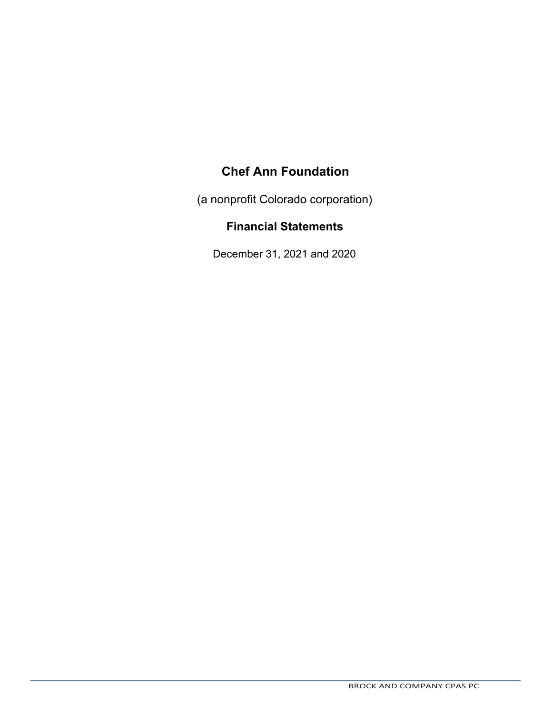(a nonprofit Colorado corporation)

### **Financial Statements**

December 31, 2021 and 2020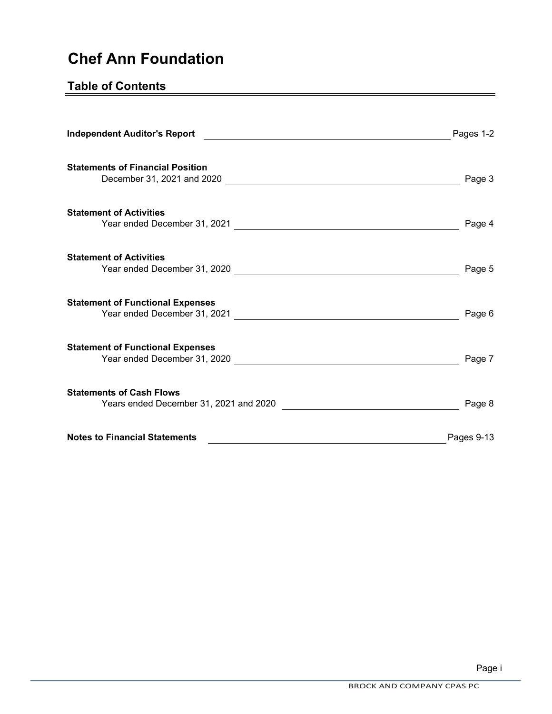## **Table of Contents**

| <b>Independent Auditor's Report</b>                                       | Pages 1-2  |
|---------------------------------------------------------------------------|------------|
| <b>Statements of Financial Position</b><br>December 31, 2021 and 2020     | Page 3     |
| <b>Statement of Activities</b><br>Year ended December 31, 2021            | Page 4     |
| <b>Statement of Activities</b><br>Year ended December 31, 2020            | Page 5     |
| <b>Statement of Functional Expenses</b><br>Year ended December 31, 2021   | Page 6     |
| <b>Statement of Functional Expenses</b><br>Year ended December 31, 2020   | Page 7     |
| <b>Statements of Cash Flows</b><br>Years ended December 31, 2021 and 2020 | Page 8     |
| <b>Notes to Financial Statements</b>                                      | Pages 9-13 |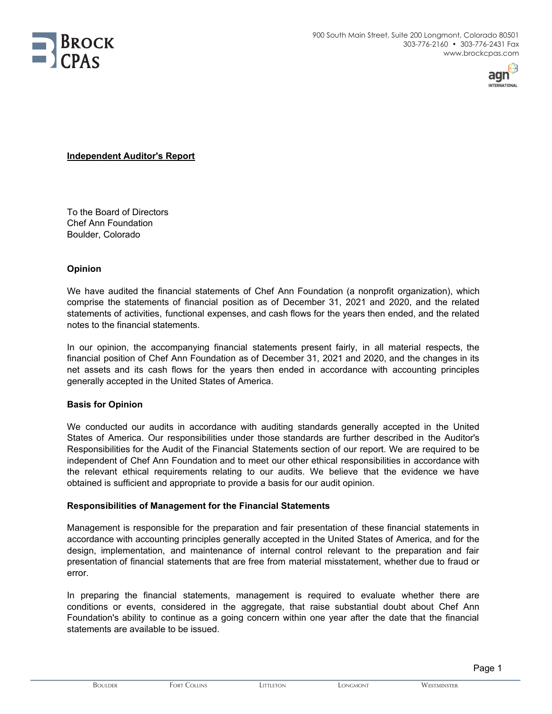



#### **Independent Auditor's Report**

To the Board of Directors Chef Ann Foundation Boulder, Colorado

#### **Opinion**

We have audited the financial statements of Chef Ann Foundation (a nonprofit organization), which comprise the statements of financial position as of December 31, 2021 and 2020, and the related statements of activities, functional expenses, and cash flows for the years then ended, and the related notes to the financial statements.

In our opinion, the accompanying financial statements present fairly, in all material respects, the financial position of Chef Ann Foundation as of December 31, 2021 and 2020, and the changes in its net assets and its cash flows for the years then ended in accordance with accounting principles generally accepted in the United States of America.

#### **Basis for Opinion**

We conducted our audits in accordance with auditing standards generally accepted in the United States of America. Our responsibilities under those standards are further described in the Auditor's Responsibilities for the Audit of the Financial Statements section of our report. We are required to be independent of Chef Ann Foundation and to meet our other ethical responsibilities in accordance with the relevant ethical requirements relating to our audits. We believe that the evidence we have obtained is sufficient and appropriate to provide a basis for our audit opinion.

#### **Responsibilities of Management for the Financial Statements**

Management is responsible for the preparation and fair presentation of these financial statements in accordance with accounting principles generally accepted in the United States of America, and for the design, implementation, and maintenance of internal control relevant to the preparation and fair presentation of financial statements that are free from material misstatement, whether due to fraud or error.

In preparing the financial statements, management is required to evaluate whether there are conditions or events, considered in the aggregate, that raise substantial doubt about Chef Ann Foundation's ability to continue as a going concern within one year after the date that the financial statements are available to be issued.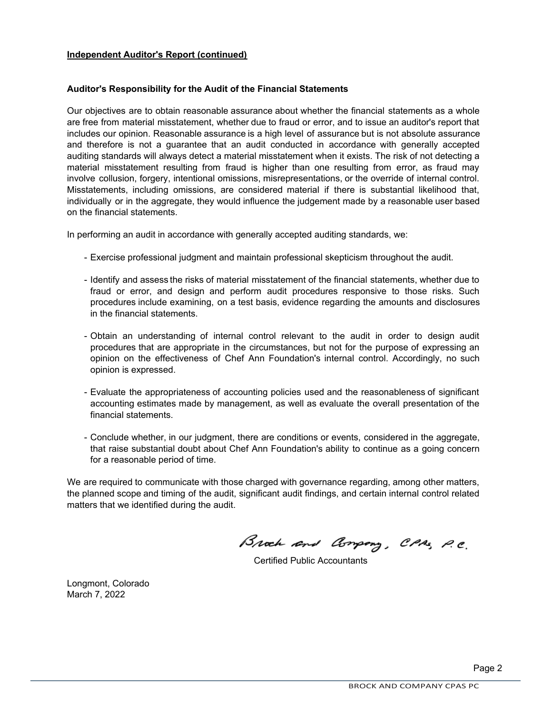#### **Independent Auditor's Report (continued)**

#### **Auditor's Responsibility for the Audit of the Financial Statements**

Our objectives are to obtain reasonable assurance about whether the financial statements as a whole are free from material misstatement, whether due to fraud or error, and to issue an auditor's report that includes our opinion. Reasonable assurance is a high level of assurance but is not absolute assurance and therefore is not a guarantee that an audit conducted in accordance with generally accepted auditing standards will always detect a material misstatement when it exists. The risk of not detecting a material misstatement resulting from fraud is higher than one resulting from error, as fraud may involve collusion, forgery, intentional omissions, misrepresentations, or the override of internal control. Misstatements, including omissions, are considered material if there is substantial likelihood that, individually or in the aggregate, they would influence the judgement made by a reasonable user based on the financial statements.

In performing an audit in accordance with generally accepted auditing standards, we:

- Exercise professional judgment and maintain professional skepticism throughout the audit.
- Identify and assess the risks of material misstatement of the financial statements, whether due to fraud or error, and design and perform audit procedures responsive to those risks. Such procedures include examining, on a test basis, evidence regarding the amounts and disclosures in the financial statements.
- Obtain an understanding of internal control relevant to the audit in order to design audit procedures that are appropriate in the circumstances, but not for the purpose of expressing an opinion on the effectiveness of Chef Ann Foundation's internal control. Accordingly, no such opinion is expressed.
- Evaluate the appropriateness of accounting policies used and the reasonableness of significant accounting estimates made by management, as well as evaluate the overall presentation of the financial statements.
- Conclude whether, in our judgment, there are conditions or events, considered in the aggregate, that raise substantial doubt about Chef Ann Foundation's ability to continue as a going concern for a reasonable period of time.

We are required to communicate with those charged with governance regarding, among other matters, the planned scope and timing of the audit, significant audit findings, and certain internal control related matters that we identified during the audit.

Broch and Company, CPAS, P.C.

Certified Public Accountants

Longmont, Colorado March 7, 2022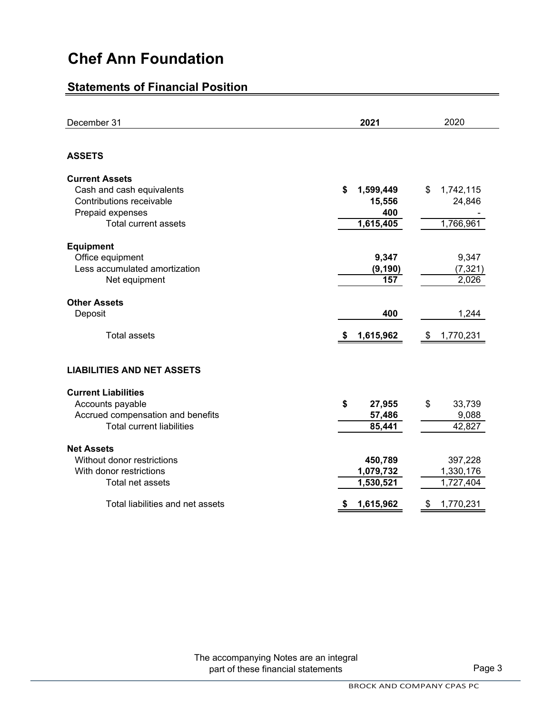### **Statements of Financial Position**

| December 31                       | 2021               | 2020            |  |
|-----------------------------------|--------------------|-----------------|--|
| <b>ASSETS</b>                     |                    |                 |  |
| <b>Current Assets</b>             |                    |                 |  |
| Cash and cash equivalents         | \$<br>1,599,449    | \$<br>1,742,115 |  |
| Contributions receivable          | 15,556             | 24,846          |  |
| Prepaid expenses                  | 400                |                 |  |
| <b>Total current assets</b>       | $\sqrt{1,615,405}$ | 1,766,961       |  |
| <b>Equipment</b>                  |                    |                 |  |
| Office equipment                  | 9,347              | 9,347           |  |
| Less accumulated amortization     | (9, 190)           | (7, 321)        |  |
| Net equipment                     | 157                | 2,026           |  |
| <b>Other Assets</b>               |                    |                 |  |
| Deposit                           | 400                | 1,244           |  |
| <b>Total assets</b>               | 1,615,962          | 1,770,231<br>\$ |  |
| <b>LIABILITIES AND NET ASSETS</b> |                    |                 |  |
| <b>Current Liabilities</b>        |                    |                 |  |
| Accounts payable                  | \$<br>27,955       | \$<br>33,739    |  |
| Accrued compensation and benefits | 57,486             | 9,088           |  |
| <b>Total current liabilities</b>  | 85,441             | 42,827          |  |
| <b>Net Assets</b>                 |                    |                 |  |
| Without donor restrictions        | 450,789            | 397,228         |  |
| With donor restrictions           | 1,079,732          | 1,330,176       |  |
| Total net assets                  | 1,530,521          | 1,727,404       |  |
| Total liabilities and net assets  | 1,615,962          | 1,770,231<br>\$ |  |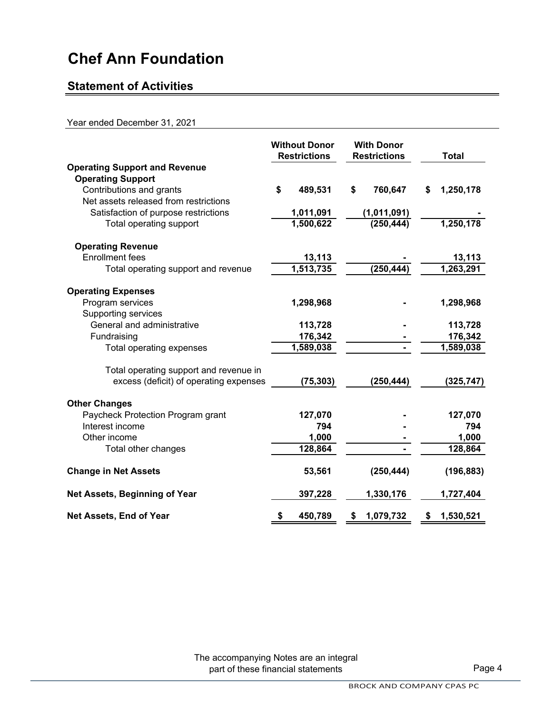### **Statement of Activities**

| <b>Operating Support and Revenue</b>   | <b>Without Donor</b><br><b>Restrictions</b> | <b>With Donor</b><br><b>Restrictions</b> |    | <b>Total</b> |
|----------------------------------------|---------------------------------------------|------------------------------------------|----|--------------|
| <b>Operating Support</b>               |                                             |                                          |    |              |
| Contributions and grants               | \$<br>489,531                               | \$<br>760,647                            | \$ | 1,250,178    |
| Net assets released from restrictions  |                                             |                                          |    |              |
| Satisfaction of purpose restrictions   | 1,011,091                                   | (1,011,091)                              |    |              |
| Total operating support                | 1,500,622                                   | (250, 444)                               |    | 1,250,178    |
| <b>Operating Revenue</b>               |                                             |                                          |    |              |
| <b>Enrollment fees</b>                 | 13,113                                      |                                          |    | 13,113       |
| Total operating support and revenue    | 1,513,735                                   | (250, 444)                               |    | 1,263,291    |
| <b>Operating Expenses</b>              |                                             |                                          |    |              |
| Program services                       | 1,298,968                                   |                                          |    | 1,298,968    |
| Supporting services                    |                                             |                                          |    |              |
| General and administrative             | 113,728                                     |                                          |    | 113,728      |
| Fundraising                            | 176,342                                     |                                          |    | 176,342      |
| Total operating expenses               | 1,589,038                                   |                                          |    | 1,589,038    |
| Total operating support and revenue in |                                             |                                          |    |              |
| excess (deficit) of operating expenses | (75, 303)                                   | (250, 444)                               |    | (325, 747)   |
| <b>Other Changes</b>                   |                                             |                                          |    |              |
| Paycheck Protection Program grant      | 127,070                                     |                                          |    | 127,070      |
| Interest income                        | 794                                         |                                          |    | 794          |
| Other income                           | 1,000                                       |                                          |    | 1,000        |
| Total other changes                    | 128,864                                     |                                          |    | 128,864      |
| <b>Change in Net Assets</b>            | 53,561                                      | (250, 444)                               |    | (196, 883)   |
| Net Assets, Beginning of Year          | 397,228                                     | 1,330,176                                |    | 1,727,404    |
| <b>Net Assets, End of Year</b>         | \$<br>450,789                               | \$<br>1,079,732                          | S  | 1,530,521    |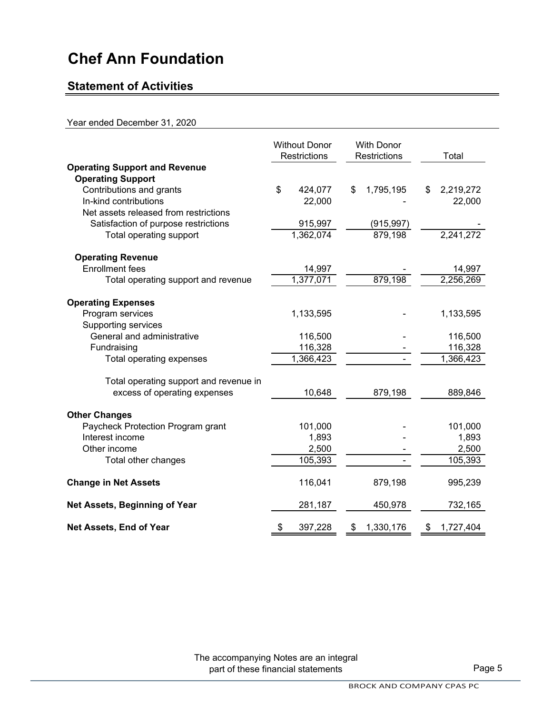### **Statement of Activities**

| <b>Operating Support and Revenue</b>   | <b>Without Donor</b><br><b>Restrictions</b> | <b>With Donor</b><br>Restrictions | Total           |
|----------------------------------------|---------------------------------------------|-----------------------------------|-----------------|
| <b>Operating Support</b>               |                                             |                                   |                 |
| Contributions and grants               | \$<br>424,077                               | \$<br>1,795,195                   | \$<br>2,219,272 |
| In-kind contributions                  | 22,000                                      |                                   | 22,000          |
| Net assets released from restrictions  |                                             |                                   |                 |
| Satisfaction of purpose restrictions   | 915,997                                     | (915, 997)                        |                 |
| Total operating support                | 1,362,074                                   | 879,198                           | 2,241,272       |
| <b>Operating Revenue</b>               |                                             |                                   |                 |
| <b>Enrollment fees</b>                 | 14,997                                      |                                   | 14,997          |
| Total operating support and revenue    | 1,377,071                                   | 879,198                           | 2,256,269       |
| <b>Operating Expenses</b>              |                                             |                                   |                 |
| Program services                       | 1,133,595                                   |                                   | 1,133,595       |
| Supporting services                    |                                             |                                   |                 |
| General and administrative             | 116,500                                     |                                   | 116,500         |
| Fundraising                            | 116,328                                     |                                   | 116,328         |
| Total operating expenses               | 1,366,423                                   |                                   | 1,366,423       |
| Total operating support and revenue in |                                             |                                   |                 |
| excess of operating expenses           | 10,648                                      | 879,198                           | 889,846         |
| <b>Other Changes</b>                   |                                             |                                   |                 |
| Paycheck Protection Program grant      | 101,000                                     |                                   | 101,000         |
| Interest income                        | 1,893                                       |                                   | 1,893           |
| Other income                           | 2,500                                       |                                   | 2,500           |
| Total other changes                    | 105,393                                     |                                   | 105,393         |
| <b>Change in Net Assets</b>            | 116,041                                     | 879,198                           | 995,239         |
| <b>Net Assets, Beginning of Year</b>   | 281,187                                     | 450,978                           | 732,165         |
| Net Assets, End of Year                | \$<br>397,228                               | \$<br>1,330,176                   | \$<br>1,727,404 |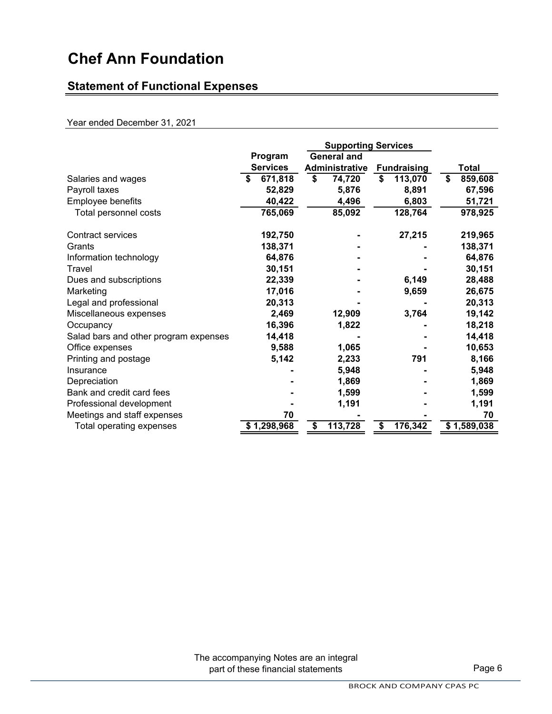## **Statement of Functional Expenses**

|                                       | <b>General and</b><br>Program |                       |                    |               |
|---------------------------------------|-------------------------------|-----------------------|--------------------|---------------|
|                                       | <b>Services</b>               | <b>Administrative</b> | <b>Fundraising</b> | Total         |
| Salaries and wages                    | 671,818                       | \$<br>74,720          | \$<br>113,070      | \$<br>859,608 |
| Payroll taxes                         | 52,829                        | 5,876                 | 8,891              | 67,596        |
| Employee benefits                     | 40,422                        | 4,496                 | 6,803              | 51,721        |
| Total personnel costs                 | 765,069                       | 85,092                | 128,764            | 978,925       |
| <b>Contract services</b>              | 192,750                       |                       | 27,215             | 219,965       |
| Grants                                | 138,371                       |                       |                    | 138,371       |
| Information technology                | 64,876                        |                       |                    | 64,876        |
| Travel                                | 30,151                        |                       |                    | 30,151        |
| Dues and subscriptions                | 22,339                        |                       | 6,149              | 28,488        |
| Marketing                             | 17,016                        |                       | 9,659              | 26,675        |
| Legal and professional                | 20,313                        |                       |                    | 20,313        |
| Miscellaneous expenses                | 2,469                         | 12,909                | 3,764              | 19,142        |
| Occupancy                             | 16,396                        | 1,822                 |                    | 18,218        |
| Salad bars and other program expenses | 14,418                        |                       |                    | 14,418        |
| Office expenses                       | 9,588                         | 1,065                 |                    | 10,653        |
| Printing and postage                  | 5,142                         | 2,233                 | 791                | 8,166         |
| Insurance                             |                               | 5,948                 |                    | 5,948         |
| Depreciation                          |                               | 1,869                 |                    | 1,869         |
| Bank and credit card fees             |                               | 1,599                 |                    | 1,599         |
| Professional development              |                               | 1,191                 |                    | 1,191         |
| Meetings and staff expenses           | 70                            |                       |                    | 70            |
| Total operating expenses              | 1,298,968                     | 113,728<br>S          | \$<br>176,342      | \$1,589,038   |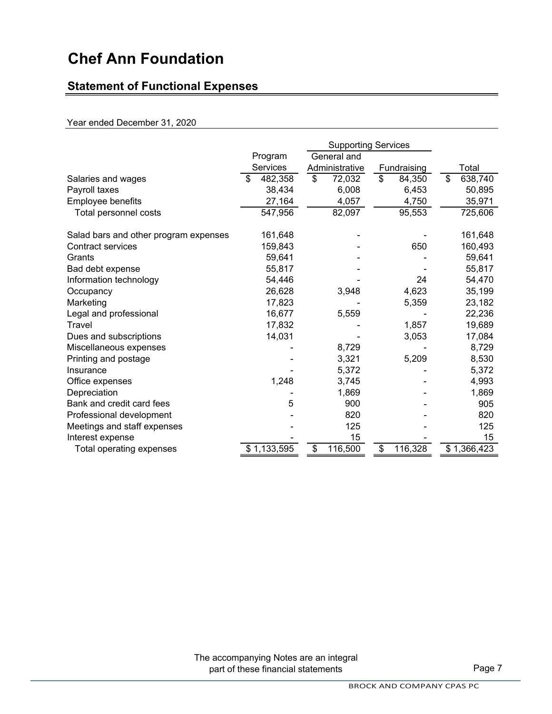## **Statement of Functional Expenses**

|                                       |                 | <b>Supporting Services</b> |               |               |
|---------------------------------------|-----------------|----------------------------|---------------|---------------|
|                                       | Program         | General and                |               |               |
|                                       | <b>Services</b> | Administrative             | Fundraising   | Total         |
| Salaries and wages                    | 482,358<br>\$.  | \$<br>72,032               | \$<br>84,350  | \$<br>638,740 |
| Payroll taxes                         | 38,434          | 6,008                      | 6,453         | 50,895        |
| Employee benefits                     | 27,164          | 4,057                      | 4,750         | 35,971        |
| Total personnel costs                 | 547,956         | 82,097                     | 95,553        | 725,606       |
| Salad bars and other program expenses | 161,648         |                            |               | 161,648       |
| Contract services                     | 159,843         |                            | 650           | 160,493       |
| Grants                                | 59,641          |                            |               | 59,641        |
| Bad debt expense                      | 55,817          |                            |               | 55,817        |
| Information technology                | 54,446          |                            | 24            | 54,470        |
| Occupancy                             | 26,628          | 3,948                      | 4,623         | 35,199        |
| Marketing                             | 17,823          |                            | 5,359         | 23,182        |
| Legal and professional                | 16,677          | 5,559                      |               | 22,236        |
| Travel                                | 17,832          |                            | 1,857         | 19,689        |
| Dues and subscriptions                | 14,031          |                            | 3,053         | 17,084        |
| Miscellaneous expenses                |                 | 8,729                      |               | 8,729         |
| Printing and postage                  |                 | 3,321                      | 5,209         | 8,530         |
| Insurance                             |                 | 5,372                      |               | 5,372         |
| Office expenses                       | 1,248           | 3,745                      |               | 4,993         |
| Depreciation                          |                 | 1,869                      |               | 1,869         |
| Bank and credit card fees             | 5               | 900                        |               | 905           |
| Professional development              |                 | 820                        |               | 820           |
| Meetings and staff expenses           |                 | 125                        |               | 125           |
| Interest expense                      |                 | 15                         |               | 15            |
| Total operating expenses              | \$1,133,595     | 116,500<br>\$              | \$<br>116,328 | \$1,366,423   |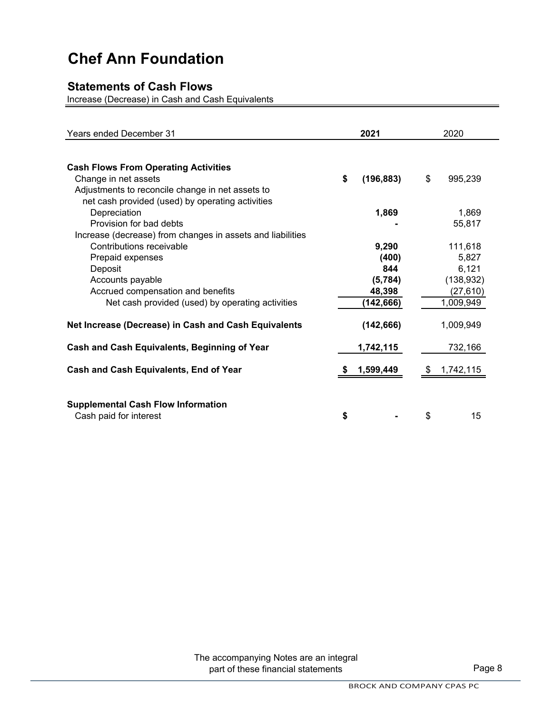### **Statements of Cash Flows**

Increase (Decrease) in Cash and Cash Equivalents

| <b>Years ended December 31</b>                                                                                                                                              | 2021             | 2020          |
|-----------------------------------------------------------------------------------------------------------------------------------------------------------------------------|------------------|---------------|
| <b>Cash Flows From Operating Activities</b><br>Change in net assets<br>Adjustments to reconcile change in net assets to<br>net cash provided (used) by operating activities | \$<br>(196, 883) | \$<br>995,239 |
| Depreciation                                                                                                                                                                | 1,869            | 1,869         |
| Provision for bad debts<br>Increase (decrease) from changes in assets and liabilities                                                                                       |                  | 55,817        |
| Contributions receivable                                                                                                                                                    | 9,290            | 111,618       |
| Prepaid expenses                                                                                                                                                            | (400)            | 5,827         |
| Deposit                                                                                                                                                                     | 844              | 6,121         |
| Accounts payable                                                                                                                                                            | (5,784)          | (138, 932)    |
| Accrued compensation and benefits                                                                                                                                           | 48,398           | (27, 610)     |
| Net cash provided (used) by operating activities                                                                                                                            | (142,666)        | 1,009,949     |
| Net Increase (Decrease) in Cash and Cash Equivalents                                                                                                                        | (142, 666)       | 1,009,949     |
| Cash and Cash Equivalents, Beginning of Year                                                                                                                                | 1,742,115        | 732,166       |
| Cash and Cash Equivalents, End of Year                                                                                                                                      | 1,599,449        | 1,742,115     |
| <b>Supplemental Cash Flow Information</b><br>Cash paid for interest                                                                                                         | \$               | \$<br>15      |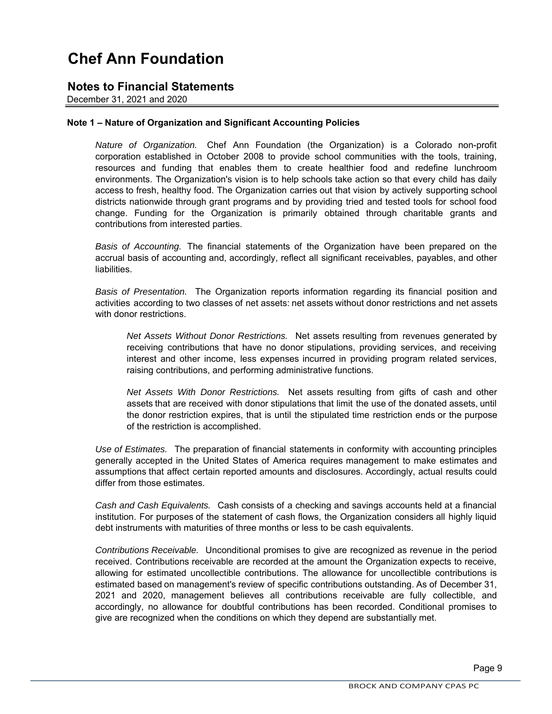#### **Notes to Financial Statements**

December 31, 2021 and 2020

#### **Note 1 – Nature of Organization and Significant Accounting Policies**

*Nature of Organization.* Chef Ann Foundation (the Organization) is a Colorado non-profit corporation established in October 2008 to provide school communities with the tools, training, resources and funding that enables them to create healthier food and redefine lunchroom environments. The Organization's vision is to help schools take action so that every child has daily access to fresh, healthy food. The Organization carries out that vision by actively supporting school districts nationwide through grant programs and by providing tried and tested tools for school food change. Funding for the Organization is primarily obtained through charitable grants and contributions from interested parties.

*Basis of Accounting.* The financial statements of the Organization have been prepared on the accrual basis of accounting and, accordingly, reflect all significant receivables, payables, and other liabilities.

*Basis of Presentation.* The Organization reports information regarding its financial position and activities according to two classes of net assets: net assets without donor restrictions and net assets with donor restrictions.

*Net Assets Without Donor Restrictions.* Net assets resulting from revenues generated by receiving contributions that have no donor stipulations, providing services, and receiving interest and other income, less expenses incurred in providing program related services, raising contributions, and performing administrative functions.

*Net Assets With Donor Restrictions.* Net assets resulting from gifts of cash and other assets that are received with donor stipulations that limit the use of the donated assets, until the donor restriction expires, that is until the stipulated time restriction ends or the purpose of the restriction is accomplished.

*Use of Estimates.* The preparation of financial statements in conformity with accounting principles generally accepted in the United States of America requires management to make estimates and assumptions that affect certain reported amounts and disclosures. Accordingly, actual results could differ from those estimates.

*Cash and Cash Equivalents.* Cash consists of a checking and savings accounts held at a financial institution. For purposes of the statement of cash flows, the Organization considers all highly liquid debt instruments with maturities of three months or less to be cash equivalents.

*Contributions Receivable.* Unconditional promises to give are recognized as revenue in the period received. Contributions receivable are recorded at the amount the Organization expects to receive, allowing for estimated uncollectible contributions. The allowance for uncollectible contributions is estimated based on management's review of specific contributions outstanding. As of December 31, 2021 and 2020, management believes all contributions receivable are fully collectible, and accordingly, no allowance for doubtful contributions has been recorded. Conditional promises to give are recognized when the conditions on which they depend are substantially met.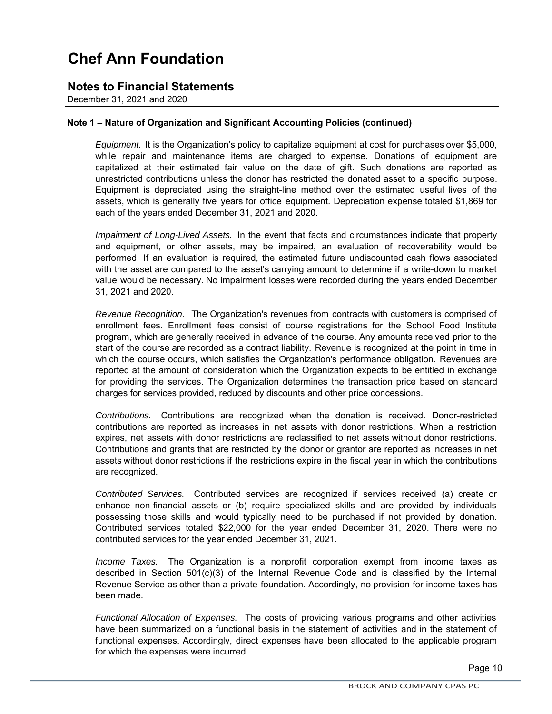#### **Notes to Financial Statements**

December 31, 2021 and 2020

#### **Note 1 – Nature of Organization and Significant Accounting Policies (continued)**

*Equipment.* It is the Organization's policy to capitalize equipment at cost for purchases over \$5,000, while repair and maintenance items are charged to expense. Donations of equipment are capitalized at their estimated fair value on the date of gift. Such donations are reported as unrestricted contributions unless the donor has restricted the donated asset to a specific purpose. Equipment is depreciated using the straight-line method over the estimated useful lives of the assets, which is generally five years for office equipment. Depreciation expense totaled \$1,869 for each of the years ended December 31, 2021 and 2020.

*Impairment of Long-Lived Assets.* In the event that facts and circumstances indicate that property and equipment, or other assets, may be impaired, an evaluation of recoverability would be performed. If an evaluation is required, the estimated future undiscounted cash flows associated with the asset are compared to the asset's carrying amount to determine if a write-down to market value would be necessary. No impairment losses were recorded during the years ended December 31, 2021 and 2020.

*Revenue Recognition.* The Organization's revenues from contracts with customers is comprised of enrollment fees. Enrollment fees consist of course registrations for the School Food Institute program, which are generally received in advance of the course. Any amounts received prior to the start of the course are recorded as a contract liability. Revenue is recognized at the point in time in which the course occurs, which satisfies the Organization's performance obligation. Revenues are reported at the amount of consideration which the Organization expects to be entitled in exchange for providing the services. The Organization determines the transaction price based on standard charges for services provided, reduced by discounts and other price concessions.

*Contributions.* Contributions are recognized when the donation is received. Donor-restricted contributions are reported as increases in net assets with donor restrictions. When a restriction expires, net assets with donor restrictions are reclassified to net assets without donor restrictions. Contributions and grants that are restricted by the donor or grantor are reported as increases in net assets without donor restrictions if the restrictions expire in the fiscal year in which the contributions are recognized.

*Contributed Services.* Contributed services are recognized if services received (a) create or enhance non-financial assets or (b) require specialized skills and are provided by individuals possessing those skills and would typically need to be purchased if not provided by donation. Contributed services totaled \$22,000 for the year ended December 31, 2020. There were no contributed services for the year ended December 31, 2021.

*Income Taxes.* The Organization is a nonprofit corporation exempt from income taxes as described in Section 501(c)(3) of the Internal Revenue Code and is classified by the Internal Revenue Service as other than a private foundation. Accordingly, no provision for income taxes has been made.

*Functional Allocation of Expenses.* The costs of providing various programs and other activities have been summarized on a functional basis in the statement of activities and in the statement of functional expenses. Accordingly, direct expenses have been allocated to the applicable program for which the expenses were incurred.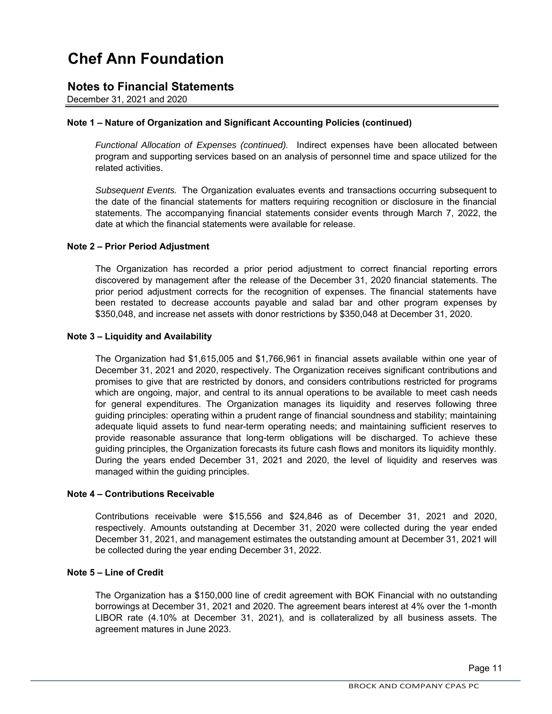#### **Notes to Financial Statements**

December 31, 2021 and 2020

#### **Note 1 – Nature of Organization and Significant Accounting Policies (continued)**

*Functional Allocation of Expenses (continued).* Indirect expenses have been allocated between program and supporting services based on an analysis of personnel time and space utilized for the related activities.

*Subsequent Events.* The Organization evaluates events and transactions occurring subsequent to the date of the financial statements for matters requiring recognition or disclosure in the financial statements. The accompanying financial statements consider events through March 7, 2022, the date at which the financial statements were available for release.

#### **Note 2 – Prior Period Adjustment**

The Organization has recorded a prior period adjustment to correct financial reporting errors discovered by management after the release of the December 31, 2020 financial statements. The prior period adjustment corrects for the recognition of expenses. The financial statements have been restated to decrease accounts payable and salad bar and other program expenses by \$350,048, and increase net assets with donor restrictions by \$350,048 at December 31, 2020.

#### **Note 3 – Liquidity and Availability**

The Organization had \$1,615,005 and \$1,766,961 in financial assets available within one year of December 31, 2021 and 2020, respectively. The Organization receives significant contributions and promises to give that are restricted by donors, and considers contributions restricted for programs which are ongoing, major, and central to its annual operations to be available to meet cash needs for general expenditures. The Organization manages its liquidity and reserves following three guiding principles: operating within a prudent range of financial soundness and stability; maintaining adequate liquid assets to fund near-term operating needs; and maintaining sufficient reserves to provide reasonable assurance that long-term obligations will be discharged. To achieve these guiding principles, the Organization forecasts its future cash flows and monitors its liquidity monthly. During the years ended December 31, 2021 and 2020, the level of liquidity and reserves was managed within the guiding principles.

#### **Note 4 – Contributions Receivable**

Contributions receivable were \$15,556 and \$24,846 as of December 31, 2021 and 2020, respectively. Amounts outstanding at December 31, 2020 were collected during the year ended December 31, 2021, and management estimates the outstanding amount at December 31, 2021 will be collected during the year ending December 31, 2022.

#### **Note 5 – Line of Credit**

The Organization has a \$150,000 line of credit agreement with BOK Financial with no outstanding borrowings at December 31, 2021 and 2020. The agreement bears interest at 4% over the 1-month LIBOR rate (4.10% at December 31, 2021), and is collateralized by all business assets. The agreement matures in June 2023.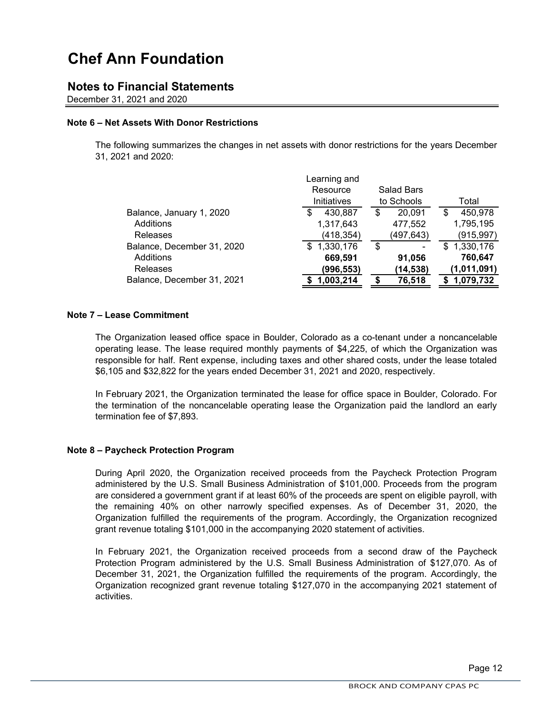#### **Notes to Financial Statements**

December 31, 2021 and 2020

#### **Note 6 – Net Assets With Donor Restrictions**

The following summarizes the changes in net assets with donor restrictions for the years December 31, 2021 and 2020:

| Total       |
|-------------|
| 450,978     |
| 1,795,195   |
| (915, 997)  |
| 1,330,176   |
| 760,647     |
| (1,011,091) |
| 1,079,732   |
|             |

#### **Note 7 – Lease Commitment**

The Organization leased office space in Boulder, Colorado as a co-tenant under a noncancelable operating lease. The lease required monthly payments of \$4,225, of which the Organization was responsible for half. Rent expense, including taxes and other shared costs, under the lease totaled \$6,105 and \$32,822 for the years ended December 31, 2021 and 2020, respectively.

In February 2021, the Organization terminated the lease for office space in Boulder, Colorado. For the termination of the noncancelable operating lease the Organization paid the landlord an early termination fee of \$7,893.

#### **Note 8 – Paycheck Protection Program**

During April 2020, the Organization received proceeds from the Paycheck Protection Program administered by the U.S. Small Business Administration of \$101,000. Proceeds from the program are considered a government grant if at least 60% of the proceeds are spent on eligible payroll, with the remaining 40% on other narrowly specified expenses. As of December 31, 2020, the Organization fulfilled the requirements of the program. Accordingly, the Organization recognized grant revenue totaling \$101,000 in the accompanying 2020 statement of activities.

In February 2021, the Organization received proceeds from a second draw of the Paycheck Protection Program administered by the U.S. Small Business Administration of \$127,070. As of December 31, 2021, the Organization fulfilled the requirements of the program. Accordingly, the Organization recognized grant revenue totaling \$127,070 in the accompanying 2021 statement of activities.